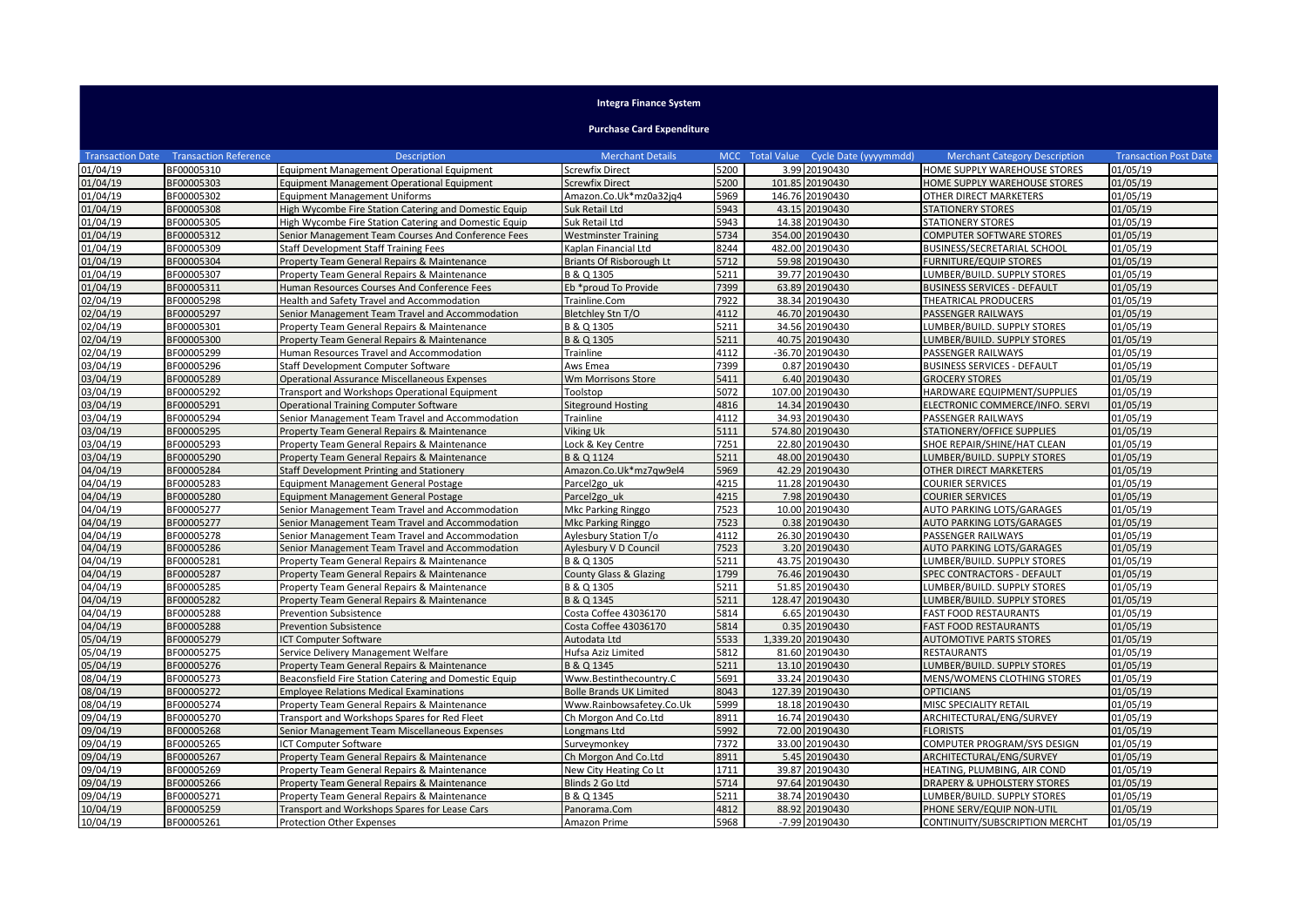## **Integra Finance System**

**Purchase Card Expenditure**

|          | <b>Transaction Date Transaction Reference</b> | <b>Description</b>                                    | <b>Merchant Details</b>           |      | MCC Total Value Cycle Date (yyyymmdd) | <b>Merchant Category Description</b> | <b>Transaction Post Date</b> |
|----------|-----------------------------------------------|-------------------------------------------------------|-----------------------------------|------|---------------------------------------|--------------------------------------|------------------------------|
| 01/04/19 | BF00005310                                    | <b>Equipment Management Operational Equipment</b>     | <b>Screwfix Direct</b>            | 5200 | 3.99 20190430                         | HOME SUPPLY WAREHOUSE STORES         | 01/05/19                     |
| 01/04/19 | BF00005303                                    | <b>Equipment Management Operational Equipment</b>     | <b>Screwfix Direct</b>            | 5200 | 101.85 20190430                       | HOME SUPPLY WAREHOUSE STORES         | 01/05/19                     |
| 01/04/19 | BF00005302                                    | <b>Equipment Management Uniforms</b>                  | Amazon.Co.Uk*mz0a32jq4            | 5969 | 146.76 20190430                       | OTHER DIRECT MARKETERS               | 01/05/19                     |
| 01/04/19 | BF00005308                                    | High Wycombe Fire Station Catering and Domestic Equip | Suk Retail Ltd                    | 5943 | 43.15 20190430                        | <b>STATIONERY STORES</b>             | 01/05/19                     |
| 01/04/19 | BF00005305                                    | High Wycombe Fire Station Catering and Domestic Equip | Suk Retail Ltd                    | 5943 | 14.38 20190430                        | <b>STATIONERY STORES</b>             | 01/05/19                     |
| 01/04/19 | BF00005312                                    | Senior Management Team Courses And Conference Fees    | <b>Westminster Training</b>       | 5734 | 354.00 20190430                       | COMPUTER SOFTWARE STORES             | 01/05/19                     |
| 01/04/19 | BF00005309                                    | <b>Staff Development Staff Training Fees</b>          | Kaplan Financial Ltd              | 8244 | 482.00 20190430                       | <b>BUSINESS/SECRETARIAL SCHOOL</b>   | 01/05/19                     |
| 01/04/19 | BF00005304                                    | Property Team General Repairs & Maintenance           | <b>Briants Of Risborough Lt</b>   | 5712 | 59.98 20190430                        | <b>FURNITURE/EQUIP STORES</b>        | 01/05/19                     |
| 01/04/19 | BF00005307                                    | Property Team General Repairs & Maintenance           | B & Q 1305                        | 5211 | 39.77 20190430                        | LUMBER/BUILD. SUPPLY STORES          | 01/05/19                     |
| 01/04/19 | BF00005311                                    | Human Resources Courses And Conference Fees           | Eb *proud To Provide              | 7399 | 63.89 20190430                        | <b>BUSINESS SERVICES - DEFAULT</b>   | 01/05/19                     |
| 02/04/19 | BF00005298                                    | Health and Safety Travel and Accommodation            | Trainline.Com                     | 7922 | 38.34 20190430                        | THEATRICAL PRODUCERS                 | 01/05/19                     |
| 02/04/19 | BF00005297                                    | Senior Management Team Travel and Accommodation       | Bletchley Stn T/O                 | 4112 | 46.70 20190430                        | PASSENGER RAILWAYS                   | 01/05/19                     |
| 02/04/19 | BF00005301                                    | Property Team General Repairs & Maintenance           | B & Q 1305                        | 5211 | 34.56 20190430                        | LUMBER/BUILD. SUPPLY STORES          | 01/05/19                     |
| 02/04/19 | BF00005300                                    | Property Team General Repairs & Maintenance           | B & Q 1305                        | 5211 | 40.75 20190430                        | LUMBER/BUILD. SUPPLY STORES          | 01/05/19                     |
| 02/04/19 | BF00005299                                    | Human Resources Travel and Accommodation              | Trainline                         | 4112 | -36.70 20190430                       | PASSENGER RAILWAYS                   | 01/05/19                     |
| 03/04/19 | BF00005296                                    | Staff Development Computer Software                   | Aws Emea                          | 7399 | 0.87 20190430                         | <b>BUSINESS SERVICES - DEFAULT</b>   | 01/05/19                     |
| 03/04/19 | BF00005289                                    | <b>Operational Assurance Miscellaneous Expenses</b>   | Wm Morrisons Store                | 5411 | 6.40 20190430                         | <b>GROCERY STORES</b>                | 01/05/19                     |
| 03/04/19 | BF00005292                                    | Transport and Workshops Operational Equipment         | Toolstop                          | 5072 | 107.00 20190430                       | HARDWARE EQUIPMENT/SUPPLIES          | 01/05/19                     |
| 03/04/19 | BF00005291                                    | <b>Operational Training Computer Software</b>         | <b>Siteground Hosting</b>         | 4816 | 14.34 20190430                        | ELECTRONIC COMMERCE/INFO. SERVI      | 01/05/19                     |
| 03/04/19 | BF00005294                                    | Senior Management Team Travel and Accommodation       | Trainline                         | 4112 | 34.93 20190430                        | PASSENGER RAILWAYS                   | 01/05/19                     |
| 03/04/19 | BF00005295                                    | Property Team General Repairs & Maintenance           | Viking Uk                         | 5111 | 574.80 20190430                       | STATIONERY/OFFICE SUPPLIES           | 01/05/19                     |
| 03/04/19 | BF00005293                                    | Property Team General Repairs & Maintenance           | Lock & Key Centre                 | 7251 | 22.80 20190430                        | SHOE REPAIR/SHINE/HAT CLEAN          | 01/05/19                     |
| 03/04/19 | BF00005290                                    | Property Team General Repairs & Maintenance           | B & Q 1124                        | 5211 | 48.00 20190430                        | LUMBER/BUILD. SUPPLY STORES          | 01/05/19                     |
| 04/04/19 | BF00005284                                    | Staff Development Printing and Stationery             | Amazon.Co.Uk*mz7qw9el4            | 5969 | 42.29 20190430                        | OTHER DIRECT MARKETERS               | 01/05/19                     |
| 04/04/19 | BF00005283                                    | <b>Equipment Management General Postage</b>           | Parcel2go uk                      | 4215 | 11.28 20190430                        | <b>COURIER SERVICES</b>              | 01/05/19                     |
| 04/04/19 | BF00005280                                    | <b>Equipment Management General Postage</b>           | Parcel2go uk                      | 4215 | 7.98 20190430                         | COURIER SERVICES                     | 01/05/19                     |
| 04/04/19 | BF00005277                                    | Senior Management Team Travel and Accommodation       | Mkc Parking Ringgo                | 7523 | 10.00 20190430                        | <b>AUTO PARKING LOTS/GARAGES</b>     | 01/05/19                     |
| 04/04/19 | BF00005277                                    | Senior Management Team Travel and Accommodation       | Mkc Parking Ringgo                | 7523 | 0.38 20190430                         | <b>AUTO PARKING LOTS/GARAGES</b>     | 01/05/19                     |
| 04/04/19 | BF00005278                                    | Senior Management Team Travel and Accommodation       | Aylesbury Station T/o             | 4112 | 26.30 20190430                        | PASSENGER RAILWAYS                   | 01/05/19                     |
| 04/04/19 | BF00005286                                    | Senior Management Team Travel and Accommodation       | Aylesbury V D Council             | 7523 | 3.20 20190430                         | AUTO PARKING LOTS/GARAGES            | 01/05/19                     |
| 04/04/19 | BF00005281                                    | Property Team General Repairs & Maintenance           | B & Q 1305                        | 5211 | 43.75 20190430                        | LUMBER/BUILD. SUPPLY STORES          | 01/05/19                     |
| 04/04/19 | BF00005287                                    | Property Team General Repairs & Maintenance           | <b>County Glass &amp; Glazing</b> | 1799 | 76.46 20190430                        | SPEC CONTRACTORS - DEFAULT           | 01/05/19                     |
| 04/04/19 | BF00005285                                    | Property Team General Repairs & Maintenance           | B & Q 1305                        | 5211 | 51.85 20190430                        | LUMBER/BUILD. SUPPLY STORES          | 01/05/19                     |
| 04/04/19 | BF00005282                                    | Property Team General Repairs & Maintenance           | B & Q 1345                        | 5211 | 128.47 20190430                       | LUMBER/BUILD. SUPPLY STORES          | 01/05/19                     |
| 04/04/19 | BF00005288                                    | <b>Prevention Subsistence</b>                         | Costa Coffee 43036170             | 5814 | 6.65 20190430                         | <b>FAST FOOD RESTAURANTS</b>         | 01/05/19                     |
| 04/04/19 | BF00005288                                    | <b>Prevention Subsistence</b>                         | Costa Coffee 43036170             | 5814 | 0.35 20190430                         | <b>FAST FOOD RESTAURANTS</b>         | 01/05/19                     |
| 05/04/19 | BF00005279                                    | ICT Computer Software                                 | Autodata Ltd                      | 5533 | 1,339.20 20190430                     | <b>AUTOMOTIVE PARTS STORES</b>       | 01/05/19                     |
| 05/04/19 | BF00005275                                    | Service Delivery Management Welfare                   | Hufsa Aziz Limited                | 5812 | 81.60 20190430                        | <b>RESTAURANTS</b>                   | 01/05/19                     |
| 05/04/19 | BF00005276                                    | Property Team General Repairs & Maintenance           | B & Q 1345                        | 5211 | 13.10 20190430                        | <b>UMBER/BUILD. SUPPLY STORES</b>    | 01/05/19                     |
| 08/04/19 | BF00005273                                    | Beaconsfield Fire Station Catering and Domestic Equip | Www.Bestinthecountry.C            | 5691 | 33.24 20190430                        | MENS/WOMENS CLOTHING STORES          | 01/05/19                     |
| 08/04/19 | BF00005272                                    | <b>Employee Relations Medical Examinations</b>        | <b>Bolle Brands UK Limited</b>    | 8043 | 127.39 20190430                       | <b>OPTICIANS</b>                     | 01/05/19                     |
| 08/04/19 | BF00005274                                    | Property Team General Repairs & Maintenance           | Www.Rainbowsafetey.Co.Uk          | 5999 | 18.18 20190430                        | MISC SPECIALITY RETAIL               | 01/05/19                     |
| 09/04/19 | BF00005270                                    | Transport and Workshops Spares for Red Fleet          | Ch Morgon And Co.Ltd              | 8911 | 16.74 20190430                        | ARCHITECTURAL/ENG/SURVEY             | 01/05/19                     |
| 09/04/19 | BF00005268                                    | Senior Management Team Miscellaneous Expenses         | Longmans Ltd                      | 5992 | 72.00 20190430                        | <b>FLORISTS</b>                      | 01/05/19                     |
| 09/04/19 | BF00005265                                    | ICT Computer Software                                 | Surveymonkey                      | 7372 | 33.00 20190430                        | COMPUTER PROGRAM/SYS DESIGN          | 01/05/19                     |
| 09/04/19 | BF00005267                                    | Property Team General Repairs & Maintenance           | Ch Morgon And Co.Ltd              | 8911 | 5.45 20190430                         | ARCHITECTURAL/ENG/SURVEY             | 01/05/19                     |
| 09/04/19 | BF00005269                                    | Property Team General Repairs & Maintenance           | New City Heating Co Lt            | 1711 | 39.87 20190430                        | HEATING, PLUMBING, AIR COND          | 01/05/19                     |
| 09/04/19 | BF00005266                                    | Property Team General Repairs & Maintenance           | Blinds 2 Go Ltd                   | 5714 | 97.64 20190430                        | DRAPERY & UPHOLSTERY STORES          | 01/05/19                     |
| 09/04/19 | BF00005271                                    | Property Team General Repairs & Maintenance           | B & Q 1345                        | 5211 | 38.74 20190430                        | LUMBER/BUILD. SUPPLY STORES          | 01/05/19                     |
| 10/04/19 | BF00005259                                    | Transport and Workshops Spares for Lease Cars         | Panorama.Com                      | 4812 | 88.92 20190430                        | PHONE SERV/EQUIP NON-UTIL            | 01/05/19                     |
| 10/04/19 | BF00005261                                    | Protection Other Expenses                             | Amazon Prime                      | 5968 | -7.99 20190430                        | CONTINUITY/SUBSCRIPTION MERCHT       | 01/05/19                     |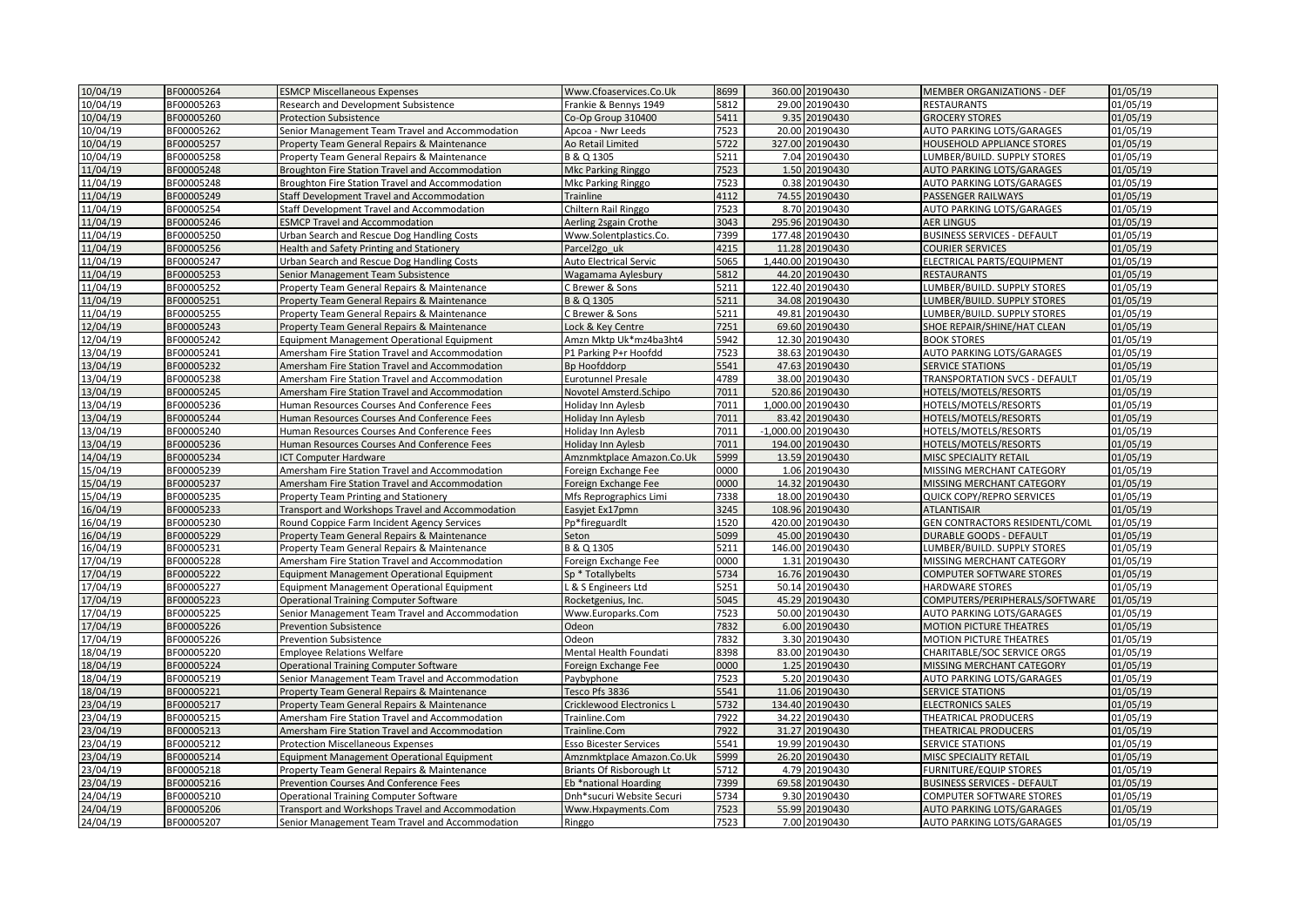| 10/04/19 | BF00005264 | <b>ESMCP Miscellaneous Expenses</b>               | Www.Cfoaservices.Co.Uk        | 8699 | 360.00 20190430    | <b>MEMBER ORGANIZATIONS - DEF</b>    | 01/05/19 |
|----------|------------|---------------------------------------------------|-------------------------------|------|--------------------|--------------------------------------|----------|
| 10/04/19 | BF00005263 | Research and Development Subsistence              | Frankie & Bennys 1949         | 5812 | 29.00 20190430     | <b>RESTAURANTS</b>                   | 01/05/19 |
| 10/04/19 | BF00005260 | <b>Protection Subsistence</b>                     | Co-Op Group 310400            | 5411 | 9.35 20190430      | <b>GROCERY STORES</b>                | 01/05/19 |
| 10/04/19 | BF00005262 | Senior Management Team Travel and Accommodation   | Apcoa - Nwr Leeds             | 7523 | 20.00 20190430     | AUTO PARKING LOTS/GARAGES            | 01/05/19 |
| 10/04/19 | BF00005257 | Property Team General Repairs & Maintenance       | Ao Retail Limited             | 5722 | 327.00 20190430    | HOUSEHOLD APPLIANCE STORES           | 01/05/19 |
| 10/04/19 | BF00005258 | Property Team General Repairs & Maintenance       | B & Q 1305                    | 5211 | 7.04 20190430      | LUMBER/BUILD. SUPPLY STORES          | 01/05/19 |
| 11/04/19 | BF00005248 | Broughton Fire Station Travel and Accommodation   | Mkc Parking Ringgo            | 7523 | 1.50 20190430      | <b>AUTO PARKING LOTS/GARAGES</b>     | 01/05/19 |
| 11/04/19 | BF00005248 | Broughton Fire Station Travel and Accommodation   | Mkc Parking Ringgo            | 7523 | 0.38 20190430      | AUTO PARKING LOTS/GARAGES            | 01/05/19 |
| 11/04/19 | BF00005249 | Staff Development Travel and Accommodation        | Trainline                     | 4112 | 74.55 20190430     | PASSENGER RAILWAYS                   | 01/05/19 |
| 11/04/19 | BF00005254 | Staff Development Travel and Accommodation        | Chiltern Rail Ringgo          | 7523 | 8.70 20190430      | AUTO PARKING LOTS/GARAGES            | 01/05/19 |
| 11/04/19 | BF00005246 | <b>ESMCP Travel and Accommodation</b>             | Aerling 2sgain Crothe         | 3043 | 295.96 20190430    | <b>AER LINGUS</b>                    | 01/05/19 |
| 11/04/19 | BF00005250 | Urban Search and Rescue Dog Handling Costs        | Www.Solentplastics.Co.        | 7399 | 177.48 20190430    | <b>BUSINESS SERVICES - DEFAULT</b>   | 01/05/19 |
| 11/04/19 | BF00005256 | Health and Safety Printing and Stationery         | Parcel2go uk                  | 4215 | 11.28 20190430     | <b>COURIER SERVICES</b>              | 01/05/19 |
| 11/04/19 | BF00005247 | Urban Search and Rescue Dog Handling Costs        | <b>Auto Electrical Servic</b> | 5065 | 1,440.00 20190430  | ELECTRICAL PARTS/EQUIPMENT           | 01/05/19 |
| 11/04/19 | BF00005253 | Senior Management Team Subsistence                | Wagamama Aylesbury            | 5812 | 44.20 20190430     | <b>RESTAURANTS</b>                   | 01/05/19 |
| 11/04/19 | BF00005252 | Property Team General Repairs & Maintenance       | C Brewer & Sons               | 5211 | 122.40 20190430    | LUMBER/BUILD. SUPPLY STORES          | 01/05/19 |
| 11/04/19 | BF00005251 | Property Team General Repairs & Maintenance       | B & Q 1305                    | 5211 | 34.08 20190430     | LUMBER/BUILD. SUPPLY STORES          | 01/05/19 |
| 11/04/19 | BF00005255 | Property Team General Repairs & Maintenance       | C Brewer & Sons               | 5211 | 49.81 20190430     | LUMBER/BUILD. SUPPLY STORES          | 01/05/19 |
| 12/04/19 | BF00005243 | Property Team General Repairs & Maintenance       | Lock & Key Centre             | 7251 | 69.60 20190430     | SHOE REPAIR/SHINE/HAT CLEAN          | 01/05/19 |
| 12/04/19 | BF00005242 | <b>Equipment Management Operational Equipment</b> | Amzn Mktp Uk*mz4ba3ht4        | 5942 | 12.30 20190430     | <b>BOOK STORES</b>                   | 01/05/19 |
| 13/04/19 | BF00005241 | Amersham Fire Station Travel and Accommodation    | P1 Parking P+r Hoofdd         | 7523 | 38.63 20190430     | AUTO PARKING LOTS/GARAGES            | 01/05/19 |
| 13/04/19 | BF00005232 | Amersham Fire Station Travel and Accommodation    | <b>Bp Hoofddorp</b>           | 5541 | 47.63 20190430     | <b>SERVICE STATIONS</b>              | 01/05/19 |
| 13/04/19 | BF00005238 | Amersham Fire Station Travel and Accommodation    | <b>Eurotunnel Presale</b>     | 4789 | 38.00 20190430     | <b>TRANSPORTATION SVCS - DEFAULT</b> | 01/05/19 |
| 13/04/19 | BF00005245 | Amersham Fire Station Travel and Accommodation    | Novotel Amsterd.Schipo        | 7011 | 520.86 20190430    | HOTELS/MOTELS/RESORTS                | 01/05/19 |
| 13/04/19 | BF00005236 | Human Resources Courses And Conference Fees       | Holiday Inn Aylesb            | 7011 | 1,000.00 20190430  | HOTELS/MOTELS/RESORTS                | 01/05/19 |
| 13/04/19 | BF00005244 | Human Resources Courses And Conference Fees       | Holiday Inn Aylesb            | 7011 | 83.42 20190430     | HOTELS/MOTELS/RESORTS                | 01/05/19 |
| 13/04/19 | BF00005240 | Human Resources Courses And Conference Fees       | Holiday Inn Aylesb            | 7011 | -1,000.00 20190430 | HOTELS/MOTELS/RESORTS                | 01/05/19 |
| 13/04/19 | BF00005236 | Human Resources Courses And Conference Fees       | Holiday Inn Aylesb            | 7011 | 194.00 20190430    | HOTELS/MOTELS/RESORTS                | 01/05/19 |
| 14/04/19 | BF00005234 | CT Computer Hardware                              | Amznmktplace Amazon.Co.Uk     | 5999 | 13.59 20190430     | MISC SPECIALITY RETAIL               | 01/05/19 |
| 15/04/19 | BF00005239 | Amersham Fire Station Travel and Accommodation    | Foreign Exchange Fee          | 0000 | 1.06 20190430      | MISSING MERCHANT CATEGORY            | 01/05/19 |
| 15/04/19 | BF00005237 | Amersham Fire Station Travel and Accommodation    | Foreign Exchange Fee          | 0000 | 14.32 20190430     | MISSING MERCHANT CATEGORY            | 01/05/19 |
| 15/04/19 | BF00005235 | Property Team Printing and Stationery             | Mfs Reprographics Limi        | 7338 | 18.00 20190430     | QUICK COPY/REPRO SERVICES            | 01/05/19 |
| 16/04/19 | BF00005233 | Transport and Workshops Travel and Accommodation  | Easyjet Ex17pmn               | 3245 | 108.96 20190430    | <b>ATLANTISAIR</b>                   | 01/05/19 |
| 16/04/19 | BF00005230 | Round Coppice Farm Incident Agency Services       | Pp*fireguardIt                | 1520 | 420.00 20190430    | GEN CONTRACTORS RESIDENTL/COML       | 01/05/19 |
| 16/04/19 | BF00005229 | Property Team General Repairs & Maintenance       | Seton                         | 5099 | 45.00 20190430     | <b>DURABLE GOODS - DEFAULT</b>       | 01/05/19 |
| 16/04/19 | BF00005231 | Property Team General Repairs & Maintenance       | B & Q 1305                    | 5211 | 146.00 20190430    | LUMBER/BUILD. SUPPLY STORES          | 01/05/19 |
| 17/04/19 | BF00005228 | Amersham Fire Station Travel and Accommodation    | Foreign Exchange Fee          | 0000 | 1.31 20190430      | MISSING MERCHANT CATEGORY            | 01/05/19 |
| 17/04/19 | BF00005222 | <b>Equipment Management Operational Equipment</b> | Sp * Totallybelts             | 5734 | 16.76 20190430     | <b>COMPUTER SOFTWARE STORES</b>      | 01/05/19 |
| 17/04/19 | BF00005227 | <b>Equipment Management Operational Equipment</b> | L & S Engineers Ltd           | 5251 | 50.14 20190430     | <b>HARDWARE STORES</b>               | 01/05/19 |
| 17/04/19 | BF00005223 | <b>Operational Training Computer Software</b>     | Rocketgenius, Inc.            | 5045 | 45.29 20190430     | COMPUTERS/PERIPHERALS/SOFTWARE       | 01/05/19 |
| 17/04/19 | BF00005225 | Senior Management Team Travel and Accommodation   | Www.Europarks.Com             | 7523 | 50.00 20190430     | AUTO PARKING LOTS/GARAGES            | 01/05/19 |
| 17/04/19 | BF00005226 | <b>Prevention Subsistence</b>                     | Odeon                         | 7832 | 6.00 20190430      | <b>MOTION PICTURE THEATRES</b>       | 01/05/19 |
| 17/04/19 | BF00005226 | <b>Prevention Subsistence</b>                     | Odeon                         | 7832 | 3.30 20190430      | <b>MOTION PICTURE THEATRES</b>       | 01/05/19 |
| 18/04/19 | BF00005220 | <b>Employee Relations Welfare</b>                 | Mental Health Foundati        | 8398 | 83.00 20190430     | <b>CHARITABLE/SOC SERVICE ORGS</b>   | 01/05/19 |
| 18/04/19 | BF00005224 | <b>Operational Training Computer Software</b>     | Foreign Exchange Fee          | 0000 | 1.25 20190430      | MISSING MERCHANT CATEGORY            | 01/05/19 |
| 18/04/19 | BF00005219 | Senior Management Team Travel and Accommodation   | Paybyphone                    | 7523 | 5.20 20190430      | AUTO PARKING LOTS/GARAGES            | 01/05/19 |
| 18/04/19 | BF00005221 | Property Team General Repairs & Maintenance       | Tesco Pfs 3836                | 5541 | 11.06 20190430     | <b>SERVICE STATIONS</b>              | 01/05/19 |
| 23/04/19 | BF00005217 | Property Team General Repairs & Maintenance       | Cricklewood Electronics L     | 5732 | 134.40 20190430    | <b>ELECTRONICS SALES</b>             | 01/05/19 |
| 23/04/19 | BF00005215 | Amersham Fire Station Travel and Accommodation    | Trainline.Com                 | 7922 | 34.22 20190430     | <b>THEATRICAL PRODUCERS</b>          | 01/05/19 |
| 23/04/19 | BF00005213 | Amersham Fire Station Travel and Accommodation    | Trainline.Com                 | 7922 | 31.27 20190430     | <b>THEATRICAL PRODUCERS</b>          | 01/05/19 |
| 23/04/19 | BF00005212 | <b>Protection Miscellaneous Expenses</b>          | <b>Esso Bicester Services</b> | 5541 | 19.99 20190430     | <b>SERVICE STATIONS</b>              | 01/05/19 |
| 23/04/19 | BF00005214 | <b>Equipment Management Operational Equipment</b> | Amznmktplace Amazon.Co.Uk     | 5999 | 26.20 20190430     | MISC SPECIALITY RETAIL               | 01/05/19 |
| 23/04/19 | BF00005218 | Property Team General Repairs & Maintenance       | Briants Of Risborough Lt      | 5712 | 4.79 20190430      | <b>FURNITURE/EQUIP STORES</b>        | 01/05/19 |
| 23/04/19 | BF00005216 | <b>Prevention Courses And Conference Fees</b>     | Eb *national Hoarding         | 7399 | 69.58 20190430     | <b>BUSINESS SERVICES - DEFAULT</b>   | 01/05/19 |
| 24/04/19 | BF00005210 | <b>Operational Training Computer Software</b>     | Dnh*sucuri Website Securi     | 5734 | 9.30 20190430      | COMPUTER SOFTWARE STORES             | 01/05/19 |
| 24/04/19 | BF00005206 | Transport and Workshops Travel and Accommodation  | Www.Hxpayments.Com            | 7523 | 55.99 20190430     | <b>AUTO PARKING LOTS/GARAGES</b>     | 01/05/19 |
| 24/04/19 | BF00005207 | Senior Management Team Travel and Accommodation   | Ringgo                        | 7523 | 7.00 20190430      | AUTO PARKING LOTS/GARAGES            | 01/05/19 |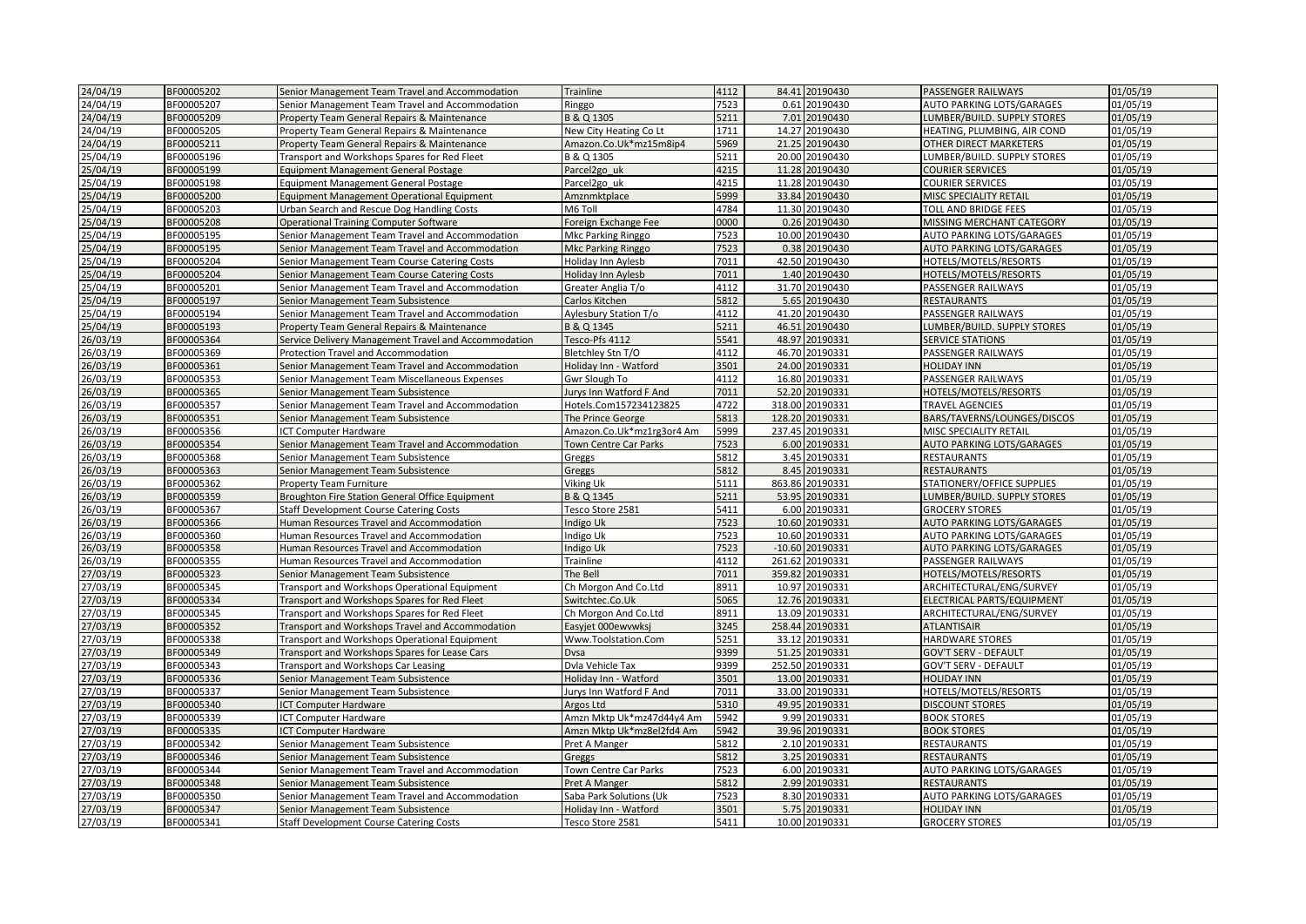| 24/04/19             | BF00005202               | Senior Management Team Travel and Accommodation                                       | Trainline                                              | 4112         | 84.41 20190430                  | PASSENGER RAILWAYS                       | 01/05/19             |
|----------------------|--------------------------|---------------------------------------------------------------------------------------|--------------------------------------------------------|--------------|---------------------------------|------------------------------------------|----------------------|
| 24/04/19             | BF00005207               | Senior Management Team Travel and Accommodation                                       | Ringgo                                                 | 7523         | 0.61 20190430                   | AUTO PARKING LOTS/GARAGES                | 01/05/19             |
| 24/04/19             | BF00005209               | Property Team General Repairs & Maintenance                                           | B & Q 1305                                             | 5211         | 7.01 20190430                   | LUMBER/BUILD. SUPPLY STORES              | 01/05/19             |
| 24/04/19             | BF00005205               | Property Team General Repairs & Maintenance                                           | New City Heating Co Lt                                 | 1711         | 14.27 20190430                  | HEATING, PLUMBING, AIR COND              | 01/05/19             |
| 24/04/19             | BF00005211               | Property Team General Repairs & Maintenance                                           | Amazon.Co.Uk*mz15m8ip4                                 | 5969         | 21.25 20190430                  | OTHER DIRECT MARKETERS                   | 01/05/19             |
| 25/04/19             | BF00005196               | Transport and Workshops Spares for Red Fleet                                          | B & Q 1305                                             | 5211         | 20.00 20190430                  | LUMBER/BUILD. SUPPLY STORES              | 01/05/19             |
| 25/04/19             | BF00005199               | <b>Equipment Management General Postage</b>                                           | Parcel2go uk                                           | 4215         | 11.28 20190430                  | <b>COURIER SERVICES</b>                  | 01/05/19             |
| 25/04/19             | BF00005198               | Equipment Management General Postage                                                  | Parcel2go uk                                           | 4215         | 11.28 20190430                  | <b>COURIER SERVICES</b>                  | 01/05/19             |
| 25/04/19             | BF00005200               | Equipment Management Operational Equipment                                            | Amznmktplace                                           | 5999         | 33.84 20190430                  | MISC SPECIALITY RETAIL                   | 01/05/19             |
| 25/04/19             | BF00005203               | Urban Search and Rescue Dog Handling Costs                                            | M6 Toll                                                | 4784         | 11.30 20190430                  | TOLL AND BRIDGE FEES                     | 01/05/19             |
| 25/04/19             | BF00005208               | Operational Training Computer Software                                                | Foreign Exchange Fee                                   | 0000         | 0.26 20190430                   | MISSING MERCHANT CATEGORY                | 01/05/19             |
| 25/04/19             | BF00005195               | Senior Management Team Travel and Accommodation                                       | Mkc Parking Ringgo                                     | 7523         | 10.00 20190430                  | AUTO PARKING LOTS/GARAGES                | 01/05/19             |
| 25/04/19             | BF00005195               | Senior Management Team Travel and Accommodation                                       | Mkc Parking Ringgo                                     | 7523         | 0.38 20190430                   | AUTO PARKING LOTS/GARAGES                | 01/05/19             |
| 25/04/19             | BF00005204               | Senior Management Team Course Catering Costs                                          | Holiday Inn Aylesb                                     | 7011         | 42.50 20190430                  | HOTELS/MOTELS/RESORTS                    | 01/05/19             |
| 25/04/19             | BF00005204               | Senior Management Team Course Catering Costs                                          | Holiday Inn Aylesb                                     | 7011         | 1.40 20190430                   | HOTELS/MOTELS/RESORTS                    | 01/05/19             |
| 25/04/19             | BF00005201               | Senior Management Team Travel and Accommodation                                       | Greater Anglia T/o                                     | 4112         | 31.70 20190430                  | PASSENGER RAILWAYS                       | 01/05/19             |
| 25/04/19             | BF00005197               | Senior Management Team Subsistence                                                    | Carlos Kitchen                                         | 5812         | 5.65 20190430                   | <b>RESTAURANTS</b>                       | 01/05/19             |
| 25/04/19             | BF00005194               | Senior Management Team Travel and Accommodation                                       | Aylesbury Station T/o                                  | 4112         | 41.20 20190430                  | PASSENGER RAILWAYS                       | 01/05/19             |
| 25/04/19             | BF00005193               | Property Team General Repairs & Maintenance                                           | B & Q 1345                                             | 5211         | 46.51 20190430                  | LUMBER/BUILD. SUPPLY STORES              | 01/05/19             |
| 26/03/19             | BF00005364               | Service Delivery Management Travel and Accommodation                                  | Tesco-Pfs 4112                                         | 5541         | 48.97 20190331                  | <b>SERVICE STATIONS</b>                  | 01/05/19             |
| 26/03/19             | BF00005369               | Protection Travel and Accommodation                                                   | Bletchley Stn T/O                                      | 4112         | 46.70 20190331                  | PASSENGER RAILWAYS                       | 01/05/19             |
| 26/03/19             | BF00005361               | Senior Management Team Travel and Accommodation                                       | Holiday Inn - Watford                                  | 3501         | 24.00 20190331                  | <b>HOLIDAY INN</b>                       | 01/05/19             |
| 26/03/19             | BF00005353               | Senior Management Team Miscellaneous Expenses                                         | Gwr Slough To                                          | 4112         | 16.80 20190331                  | PASSENGER RAILWAYS                       | 01/05/19             |
| 26/03/19             | BF00005365               | Senior Management Team Subsistence                                                    | Jurys Inn Watford F And                                | 7011         | 52.20 20190331                  | HOTELS/MOTELS/RESORTS                    | 01/05/19             |
| 26/03/19             | BF00005357               | Senior Management Team Travel and Accommodation                                       | Hotels.Com157234123825                                 | 4722         | 318.00 20190331                 | <b>TRAVEL AGENCIES</b>                   | 01/05/19             |
| 26/03/19             | BF00005351               | Senior Management Team Subsistence                                                    | The Prince George                                      | 5813         | 128.20 20190331                 | BARS/TAVERNS/LOUNGES/DISCOS              | 01/05/19             |
| 26/03/19             | BF00005356               | ICT Computer Hardware                                                                 | Amazon.Co.Uk*mz1rg3or4 Am                              | 5999         | 237.45 20190331                 | MISC SPECIALITY RETAIL                   | 01/05/19             |
| 26/03/19             | BF00005354               | Senior Management Team Travel and Accommodation                                       | <b>Town Centre Car Parks</b>                           | 7523         | 6.00 20190331                   | AUTO PARKING LOTS/GARAGES                | 01/05/19             |
| 26/03/19             | BF00005368               | Senior Management Team Subsistence                                                    | Greggs                                                 | 5812         | 3.45 20190331                   | <b>RESTAURANTS</b>                       | 01/05/19             |
| 26/03/19             | BF00005363               | Senior Management Team Subsistence                                                    | Greggs                                                 | 5812         | 8.45 20190331                   | <b>RESTAURANTS</b>                       | 01/05/19             |
| 26/03/19             | BF00005362               | Property Team Furniture                                                               | Viking Uk                                              | 5111         | 863.86 20190331                 | STATIONERY/OFFICE SUPPLIES               | 01/05/19             |
| 26/03/19             | BF00005359               | <b>Broughton Fire Station General Office Equipment</b>                                | B & Q 1345                                             | 5211         | 53.95 20190331                  | LUMBER/BUILD. SUPPLY STORES              | 01/05/19             |
| 26/03/19             | BF00005367               | <b>Staff Development Course Catering Costs</b>                                        | Tesco Store 2581                                       | 5411         | 6.00 20190331                   | <b>GROCERY STORES</b>                    | 01/05/19             |
| 26/03/19             | BF00005366               | Human Resources Travel and Accommodation                                              | Indigo Uk                                              | 7523         | 10.60 20190331                  | AUTO PARKING LOTS/GARAGES                | 01/05/19             |
| 26/03/19             | BF00005360               | Human Resources Travel and Accommodation                                              | Indigo Uk                                              | 7523         | 10.60 20190331                  | AUTO PARKING LOTS/GARAGES                | 01/05/19             |
| 26/03/19             | BF00005358               | Human Resources Travel and Accommodation                                              | Indigo Uk                                              | 7523         | $-10.60$ 20190331               | AUTO PARKING LOTS/GARAGES                | 01/05/19             |
| 26/03/19             | BF00005355               | Human Resources Travel and Accommodation                                              | Trainline                                              | 4112         | 261.62 20190331                 | PASSENGER RAILWAYS                       | 01/05/19             |
| 27/03/19             | BF00005323               | Senior Management Team Subsistence                                                    | The Bell                                               | 7011         | 359.82 20190331                 | HOTELS/MOTELS/RESORTS                    | 01/05/19             |
| 27/03/19             | BF00005345               | Transport and Workshops Operational Equipment                                         | Ch Morgon And Co.Ltd                                   | 8911         | 10.97 20190331                  | ARCHITECTURAL/ENG/SURVEY                 | 01/05/19             |
| 27/03/19             | BF00005334               | Transport and Workshops Spares for Red Fleet                                          | Switchtec.Co.Uk                                        | 5065         | 12.76 20190331                  | ELECTRICAL PARTS/EQUIPMENT               | 01/05/19             |
| 27/03/19             | BF00005345               | Transport and Workshops Spares for Red Fleet                                          | Ch Morgon And Co.Ltd                                   | 8911         | 13.09 20190331                  | ARCHITECTURAL/ENG/SURVEY                 | 01/05/19             |
| 27/03/19             | BF00005352               | Transport and Workshops Travel and Accommodation                                      | Easyjet 000ewvwksj                                     | 3245         | 258.44 20190331                 | <b>ATLANTISAIR</b>                       | 01/05/19             |
| 27/03/19             | BF00005338               | Transport and Workshops Operational Equipment                                         | Www.Toolstation.Com                                    | 5251         | 33.12 20190331                  | <b>HARDWARE STORES</b>                   | 01/05/19             |
| 27/03/19             | BF00005349               | Transport and Workshops Spares for Lease Cars                                         | Dysa                                                   | 9399         | 51.25 20190331                  | <b>GOV'T SERV - DEFAULT</b>              | 01/05/19             |
| 27/03/19             | BF00005343               | Transport and Workshops Car Leasing                                                   | Dvla Vehicle Tax                                       | 9399         | 252.50 20190331                 | <b>GOV'T SERV - DEFAULT</b>              | 01/05/19             |
| 27/03/19             | BF00005336               | Senior Management Team Subsistence                                                    | Holiday Inn - Watford                                  | 3501         | 13.00 20190331                  | <b>HOLIDAY INN</b>                       | 01/05/19             |
| 27/03/19             | BF00005337               | Senior Management Team Subsistence                                                    | Jurys Inn Watford F And                                | 7011         | 33.00 20190331                  | HOTELS/MOTELS/RESORTS                    | 01/05/19             |
| 27/03/19             | BF00005340               | CT Computer Hardware                                                                  | Argos Ltd                                              | 5310         | 49.95 20190331                  | <b>DISCOUNT STORES</b>                   | 01/05/19             |
| 27/03/19<br>27/03/19 | BF00005339<br>BF00005335 | ICT Computer Hardware                                                                 | Amzn Mktp Uk*mz47d44y4 Am<br>Amzn Mktp Uk*mz8el2fd4 Am | 5942<br>5942 | 9.99 20190331<br>39.96 20190331 | <b>BOOK STORES</b><br><b>BOOK STORES</b> | 01/05/19<br>01/05/19 |
|                      |                          | ICT Computer Hardware                                                                 |                                                        |              |                                 |                                          |                      |
| 27/03/19<br>27/03/19 | BF00005342               | Senior Management Team Subsistence                                                    | Pret A Manger                                          | 5812<br>5812 | 2.10 20190331<br>3.25 20190331  | <b>RESTAURANTS</b><br><b>RESTAURANTS</b> | 01/05/19<br>01/05/19 |
|                      | BF00005346               | Senior Management Team Subsistence                                                    | Greggs                                                 |              |                                 | AUTO PARKING LOTS/GARAGES                |                      |
| 27/03/19<br>27/03/19 | BF00005344<br>BF00005348 | Senior Management Team Travel and Accommodation<br>Senior Management Team Subsistence | Town Centre Car Parks<br>Pret A Manger                 | 7523<br>5812 | 6.00 20190331<br>2.99 20190331  | <b>RESTAURANTS</b>                       | 01/05/19<br>01/05/19 |
| 27/03/19             | BF00005350               | Senior Management Team Travel and Accommodation                                       | Saba Park Solutions (Uk                                | 7523         | 8.30 20190331                   | AUTO PARKING LOTS/GARAGES                | 01/05/19             |
| 27/03/19             | BF00005347               | Senior Management Team Subsistence                                                    | Holiday Inn - Watford                                  | 3501         | 5.75 20190331                   | <b>HOLIDAY INN</b>                       | 01/05/19             |
| 27/03/19             | BF00005341               | <b>Staff Development Course Catering Costs</b>                                        | Tesco Store 2581                                       | 5411         | 10.00 20190331                  | <b>GROCERY STORES</b>                    | 01/05/19             |
|                      |                          |                                                                                       |                                                        |              |                                 |                                          |                      |